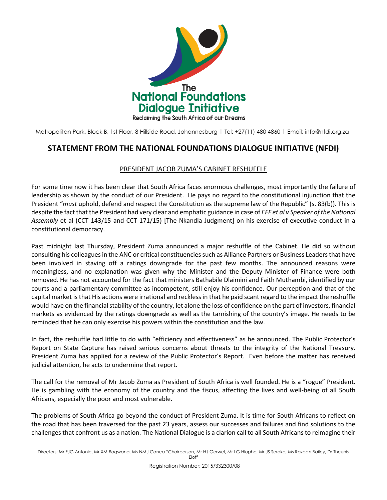

Metropolitan Park, Block B, 1st Floor, 8 Hillside Road, Johannesburg | Tel: +27(11) 480 4860 | Email[: info@nfdi.org.za](mailto:info@nfdi.org.za)

## **STATEMENT FROM THE NATIONAL FOUNDATIONS DIALOGUE INITIATIVE (NFDI)**

## PRESIDENT JACOB ZUMA'S CABINET RESHUFFLE

For some time now it has been clear that South Africa faces enormous challenges, most importantly the failure of leadership as shown by the conduct of our President. He pays no regard to the constitutional injunction that the President "*must* uphold, defend and respect the Constitution as the supreme law of the Republic" (s. 83(b)). This is despite the fact that the President had very clear and emphatic guidance in case of *EFF et al v Speaker of the National Assembly* et al (CCT 143/15 and CCT 171/15) [The Nkandla Judgment] on his exercise of executive conduct in a constitutional democracy.

Past midnight last Thursday, President Zuma announced a major reshuffle of the Cabinet. He did so without consulting his colleagues in the ANC or critical constituencies such as Alliance Partners or Business Leaders that have been involved in staving off a ratings downgrade for the past few months. The announced reasons were meaningless, and no explanation was given why the Minister and the Deputy Minister of Finance were both removed. He has not accounted for the fact that ministers Bathabile Dlaimini and Faith Muthambi, identified by our courts and a parliamentary committee as incompetent, still enjoy his confidence. Our perception and that of the capital market is that His actions were irrational and reckless in that he paid scant regard to the impact the reshuffle would have on the financial stability of the country, let alone the loss of confidence on the part of investors, financial markets as evidenced by the ratings downgrade as well as the tarnishing of the country's image. He needs to be reminded that he can only exercise his powers within the constitution and the law.

In fact, the reshuffle had little to do with "efficiency and effectiveness" as he announced. The Public Protector's Report on State Capture has raised serious concerns about threats to the integrity of the National Treasury. President Zuma has applied for a review of the Public Protector's Report. Even before the matter has received judicial attention, he acts to undermine that report.

The call for the removal of Mr Jacob Zuma as President of South Africa is well founded. He is a "rogue" President. He is gambling with the economy of the country and the fiscus, affecting the lives and well-being of all South Africans, especially the poor and most vulnerable.

The problems of South Africa go beyond the conduct of President Zuma. It is time for South Africans to reflect on the road that has been traversed for the past 23 years, assess our successes and failures and find solutions to the challenges that confront us as a nation. The National Dialogue is a clarion call to all South Africans to reimagine their

Registration Number: 2015/332300/08